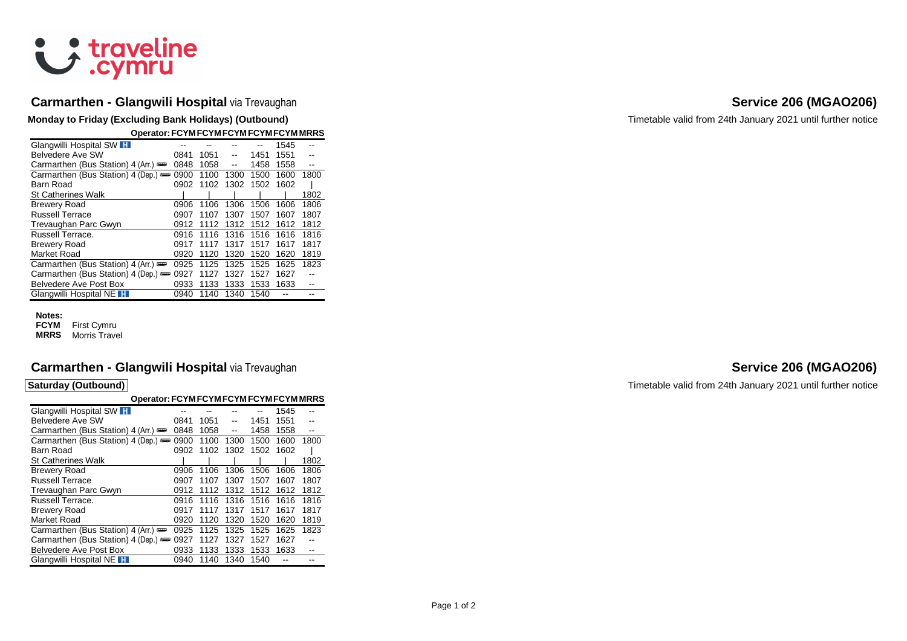# & traveline

## **Carmarthen - Glangwili Hospital** via Trevaughan **Service 206 (MGAO206) Service 206 (MGAO206)**

**Monday to Friday (Excluding Bank Holidays) (Outbound) Timetable valid from 24th January 2021 until further notice** 

| Operator: FCYM FCYM FCYM FCYM FCYM MRRS |      |      |      |      |      |      |
|-----------------------------------------|------|------|------|------|------|------|
| Glangwilli Hospital SW H                |      |      |      |      | 1545 |      |
| Belvedere Ave SW                        | 0841 | 1051 |      | 1451 | 1551 |      |
| Carmarthen (Bus Station) 4 (Arr.)       | 0848 | 1058 | $-$  | 1458 | 1558 | --   |
| Carmarthen (Bus Station) 4 (Dep.) =     | 0900 | 1100 | 1300 | 1500 | 1600 | 1800 |
| Barn Road                               | 0902 | 1102 | 1302 | 1502 | 1602 |      |
| St Catherines Walk                      |      |      |      |      |      | 1802 |
| Brewery Road                            | 0906 | 1106 | 1306 | 1506 | 1606 | 1806 |
| Russell Terrace                         | 0907 | 1107 | 1307 | 1507 | 1607 | 1807 |
| Trevaughan Parc Gwyn                    | 0912 | 1112 | 1312 | 1512 | 1612 | 1812 |
| Russell Terrace.                        | 0916 | 1116 | 1316 | 1516 | 1616 | 1816 |
| Brewery Road                            | 0917 | 1117 | 1317 | 1517 | 1617 | 1817 |
| Market Road                             | 0920 | 1120 | 1320 | 1520 | 1620 | 1819 |
| Carmarthen (Bus Station) 4 (Arr.)       | 0925 | 1125 | 1325 | 1525 | 1625 | 1823 |
| Carmarthen (Bus Station) 4 (Dep.) =     | 0927 | 1127 | 1327 | 1527 | 1627 |      |
| Belvedere Ave Post Box                  | 0933 | 1133 | 1333 | 1533 | 1633 |      |
| Glangwilli Hospital NE                  | 0940 | 1140 | 1340 | 1540 |      |      |

## **Notes:**

**FCYM** First Cymru **MRRS** Morris Travel

## **Carmarthen - Glangwili Hospital** via Trevaughan **Service 206 (MGAO206) Service 206 (MGAO206)**

| Operator: FCYM FCYM FCYM FCYM FCYM MRRS |      |      |      |      |      |      |
|-----------------------------------------|------|------|------|------|------|------|
| Glangwilli Hospital SW H                |      |      |      |      | 1545 |      |
| Belvedere Ave SW                        | 0841 | 1051 | --   | 1451 | 1551 |      |
| Carmarthen (Bus Station) 4 (Arr.)       | 0848 | 1058 | --   | 1458 | 1558 | $-$  |
| Carmarthen (Bus Station) 4 (Dep.)       | 0900 | 1100 | 1300 | 1500 | 1600 | 1800 |
| Barn Road                               | 0902 | 1102 | 1302 | 1502 | 1602 |      |
| St Catherines Walk                      |      |      |      |      |      | 1802 |
| Brewery Road                            | 0906 | 1106 | 1306 | 1506 | 1606 | 1806 |
| <b>Russell Terrace</b>                  | 0907 | 1107 | 1307 | 1507 | 1607 | 1807 |
| Trevaughan Parc Gwyn                    | 0912 | 1112 | 1312 | 1512 | 1612 | 1812 |
| Russell Terrace.                        | 0916 | 1116 | 1316 | 1516 | 1616 | 1816 |
| <b>Brewery Road</b>                     | 0917 | 1117 | 1317 | 1517 | 1617 | 1817 |
| Market Road                             | 0920 | 1120 | 1320 | 1520 | 1620 | 1819 |
| Carmarthen (Bus Station) 4 (Arr.)       | 0925 | 1125 | 1325 | 1525 | 1625 | 1823 |
| Carmarthen (Bus Station) 4 (Dep.)       | 0927 | 1127 | 1327 | 1527 | 1627 |      |
| Belvedere Ave Post Box                  | 0933 | 1133 | 1333 | 1533 | 1633 |      |
| Glangwilli Hospital NE H                | 0940 | 1140 | 1340 | 1540 |      |      |

**Saturday (Outbound) Caturday (Outbound) Timetable valid from 24th January 2021 until further notice**